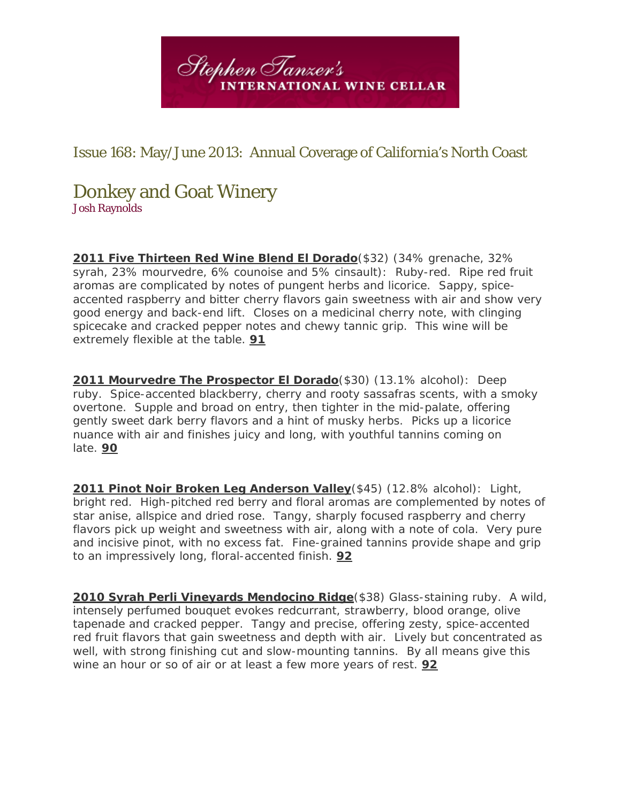

## Issue 168: May/June 2013: Annual Coverage of California's North Coast

## Donkey and Goat Winery

Josh Raynolds

**2011 Five Thirteen Red Wine Blend El Dorado**(\$32) (34% grenache, 32% syrah, 23% mourvedre, 6% counoise and 5% cinsault): Ruby-red. Ripe red fruit aromas are complicated by notes of pungent herbs and licorice. Sappy, spiceaccented raspberry and bitter cherry flavors gain sweetness with air and show very good energy and back-end lift. Closes on a medicinal cherry note, with clinging spicecake and cracked pepper notes and chewy tannic grip. This wine will be extremely flexible at the table. **91**

**2011 Mourvedre The Prospector El Dorado**(\$30) (13.1% alcohol): Deep ruby. Spice-accented blackberry, cherry and rooty sassafras scents, with a smoky overtone. Supple and broad on entry, then tighter in the mid-palate, offering gently sweet dark berry flavors and a hint of musky herbs. Picks up a licorice nuance with air and finishes juicy and long, with youthful tannins coming on late. **90**

**2011 Pinot Noir Broken Leg Anderson Valley**(\$45) (12.8% alcohol): Light, bright red. High-pitched red berry and floral aromas are complemented by notes of star anise, allspice and dried rose. Tangy, sharply focused raspberry and cherry flavors pick up weight and sweetness with air, along with a note of cola. Very pure and incisive pinot, with no excess fat. Fine-grained tannins provide shape and grip to an impressively long, floral-accented finish. **92**

**2010 Syrah Perli Vineyards Mendocino Ridge**(\$38) Glass-staining ruby. A wild, intensely perfumed bouquet evokes redcurrant, strawberry, blood orange, olive tapenade and cracked pepper. Tangy and precise, offering zesty, spice-accented red fruit flavors that gain sweetness and depth with air. Lively but concentrated as well, with strong finishing cut and slow-mounting tannins. By all means give this wine an hour or so of air or at least a few more years of rest. **92**